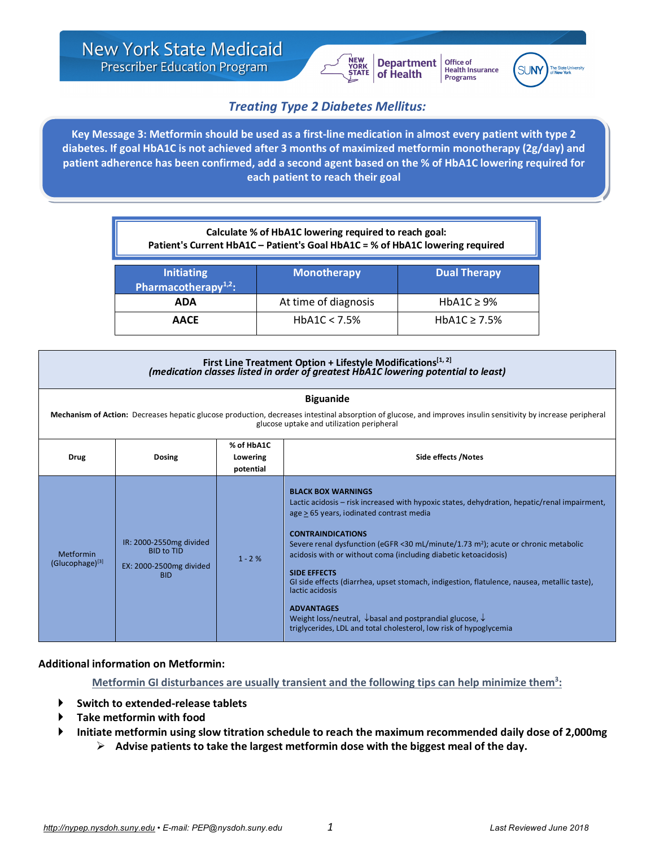

Office of Health Insurance<br>Programs



# *Treating Type 2 Diabetes Mellitus:*

*Metformin as a first line agent* **Key Message 3: Metformin should be used as a first-line medication in almost every patient with type 2 diabetes. If goal HbA1C is not achieved after 3 months of maximized metformin monotherapy (2g/day) and patient adherence has been confirmed, add a second agent based on the % of HbA1C lowering required for each patient to reach their goal**

| Calculate % of HbA1C lowering required to reach goal:<br>Patient's Current HbA1C - Patient's Goal HbA1C = % of HbA1C lowering required |                      |                     |  |  |
|----------------------------------------------------------------------------------------------------------------------------------------|----------------------|---------------------|--|--|
| <b>Initiating</b><br>Pharmacotherapy $1,2$ :                                                                                           | <b>Monotherapy</b>   | <b>Dual Therapy</b> |  |  |
| <b>ADA</b>                                                                                                                             | At time of diagnosis | HbA1C $\geq$ 9%     |  |  |
| <b>AACE</b>                                                                                                                            | HbA1C < 7.5%         | HbA1C $\geq$ 7.5%   |  |  |

### First Line Treatment Option + Lifestyle Modifications<sup>[1, 2]</sup> *(medication classes listed in order of greatest HbA1C lowering potential to least)*

| <b>Biguanide</b><br>Mechanism of Action: Decreases hepatic glucose production, decreases intestinal absorption of glucose, and improves insulin sensitivity by increase peripheral<br>glucose uptake and utilization peripheral |                                                                                       |                                     |                                                                                                                                                                                                                                                                                                                                                                                                                                                                                                                                                                                                                                                                                              |  |
|---------------------------------------------------------------------------------------------------------------------------------------------------------------------------------------------------------------------------------|---------------------------------------------------------------------------------------|-------------------------------------|----------------------------------------------------------------------------------------------------------------------------------------------------------------------------------------------------------------------------------------------------------------------------------------------------------------------------------------------------------------------------------------------------------------------------------------------------------------------------------------------------------------------------------------------------------------------------------------------------------------------------------------------------------------------------------------------|--|
| <b>Drug</b>                                                                                                                                                                                                                     | <b>Dosing</b>                                                                         | % of HbA1C<br>Lowering<br>potential | Side effects /Notes                                                                                                                                                                                                                                                                                                                                                                                                                                                                                                                                                                                                                                                                          |  |
| Metformin<br>$(Glucophage)^{[3]}$                                                                                                                                                                                               | IR: 2000-2550mg divided<br><b>BID to TID</b><br>EX: 2000-2500mg divided<br><b>BID</b> | $1 - 2%$                            | <b>BLACK BOX WARNINGS</b><br>Lactic acidosis – risk increased with hypoxic states, dehydration, hepatic/renal impairment,<br>age > 65 years, iodinated contrast media<br><b>CONTRAINDICATIONS</b><br>Severe renal dysfunction (eGFR <30 mL/minute/1.73 m <sup>2</sup> ); acute or chronic metabolic<br>acidosis with or without coma (including diabetic ketoacidosis)<br><b>SIDE EFFECTS</b><br>GI side effects (diarrhea, upset stomach, indigestion, flatulence, nausea, metallic taste),<br>lactic acidosis<br><b>ADVANTAGES</b><br>Weight loss/neutral, $\downarrow$ basal and postprandial glucose, $\downarrow$<br>triglycerides, LDL and total cholesterol, low risk of hypoglycemia |  |

## **Additional information on Metformin:**

Metformin GI disturbances are usually transient and the following tips can help minimize them<sup>3</sup>:

- } **Switch to extended-release tablets**
- } **Take metformin with food**
- } **Initiate metformin using slow titration schedule to reach the maximum recommended daily dose of 2,000mg**
	- Ø **Advise patients to take the largest metformin dose with the biggest meal of the day.**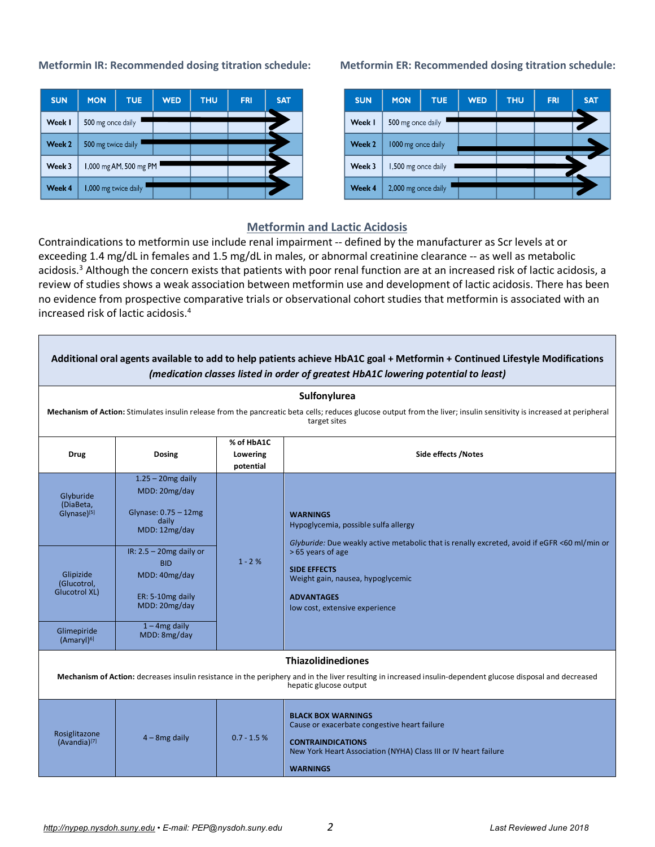| <b>SUN</b> | <b>MON</b>         | <b>TUE</b>             | <b>WED</b> | <b>THU</b> | <b>FRI</b> | <b>SAT</b> |
|------------|--------------------|------------------------|------------|------------|------------|------------|
| Week I     | 500 mg once daily  |                        |            |            |            |            |
| Week 2     | 500 mg twice daily |                        |            |            |            |            |
| Week 3     |                    | 1,000 mg AM, 500 mg PM |            |            |            |            |
| Week 4     |                    | 1,000 mg twice daily   |            |            |            |            |

### **Metformin IR: Recommended dosing titration schedule: Metformin ER: Recommended dosing titration schedule:**

| <b>SUN</b> | <b>MON</b>          | <b>TUE</b> | <b>WED</b> | <b>THU</b> | <b>FRI</b> | <b>SAT</b> |
|------------|---------------------|------------|------------|------------|------------|------------|
| Week I     | 500 mg once daily   |            |            |            |            |            |
| Week 2     | 1000 mg once daily  |            |            |            |            |            |
| Week 3     | 1,500 mg once daily |            |            |            |            |            |
| Week 4     | 2,000 mg once daily |            |            |            |            |            |

### **Metformin and Lactic Acidosis**

Contraindications to metformin use include renal impairment -- defined by the manufacturer as Scr levels at or exceeding 1.4 mg/dL in females and 1.5 mg/dL in males, or abnormal creatinine clearance -- as well as metabolic acidosis.<sup>3</sup> Although the concern exists that patients with poor renal function are at an increased risk of lactic acidosis, a review of studies shows a weak association between metformin use and development of lactic acidosis. There has been no evidence from prospective comparative trials or observational cohort studies that metformin is associated with an increased risk of lactic acidosis. 4

| Additional oral agents available to add to help patients achieve HbA1C goal + Metformin + Continued Lifestyle Modifications<br>(medication classes listed in order of greatest HbA1C lowering potential to least)  |                                                                                                |                                     |                                                                                                                                                                                             |  |  |
|--------------------------------------------------------------------------------------------------------------------------------------------------------------------------------------------------------------------|------------------------------------------------------------------------------------------------|-------------------------------------|---------------------------------------------------------------------------------------------------------------------------------------------------------------------------------------------|--|--|
| Sulfonylurea<br>Mechanism of Action: Stimulates insulin release from the pancreatic beta cells; reduces glucose output from the liver; insulin sensitivity is increased at peripheral<br>target sites              |                                                                                                |                                     |                                                                                                                                                                                             |  |  |
| <b>Drug</b>                                                                                                                                                                                                        | <b>Dosing</b>                                                                                  | % of HbA1C<br>Lowering<br>potential | <b>Side effects /Notes</b>                                                                                                                                                                  |  |  |
| Glyburide<br>(DiaBeta,<br>Glynase) <sup>[5]</sup>                                                                                                                                                                  | $1.25 - 20$ mg daily<br>MDD: 20mg/day<br>Glynase: $0.75 - 12$ mg<br>daily<br>MDD: 12mg/day     | $1 - 2%$                            | <b>WARNINGS</b><br>Hypoglycemia, possible sulfa allergy<br>Glyburide: Due weakly active metabolic that is renally excreted, avoid if eGFR <60 ml/min or                                     |  |  |
| Glipizide<br>(Glucotrol,<br><b>Glucotrol XL)</b>                                                                                                                                                                   | IR: $2.5 - 20$ mg daily or<br><b>BID</b><br>MDD: 40mg/day<br>ER: 5-10mg daily<br>MDD: 20mg/day |                                     | >65 years of age<br><b>SIDE EFFECTS</b><br>Weight gain, nausea, hypoglycemic<br><b>ADVANTAGES</b><br>low cost, extensive experience                                                         |  |  |
| Glimepiride<br>(Amaryl) <sup>6]</sup>                                                                                                                                                                              | $1 - 4$ mg daily<br>MDD: 8mg/day                                                               |                                     |                                                                                                                                                                                             |  |  |
| <b>Thiazolidinediones</b><br>Mechanism of Action: decreases insulin resistance in the periphery and in the liver resulting in increased insulin-dependent glucose disposal and decreased<br>hepatic glucose output |                                                                                                |                                     |                                                                                                                                                                                             |  |  |
| Rosiglitazone<br>(Avandia) <sup>[7]</sup>                                                                                                                                                                          | $4 - 8$ mg daily                                                                               | $0.7 - 1.5%$                        | <b>BLACK BOX WARNINGS</b><br>Cause or exacerbate congestive heart failure<br><b>CONTRAINDICATIONS</b><br>New York Heart Association (NYHA) Class III or IV heart failure<br><b>WARNINGS</b> |  |  |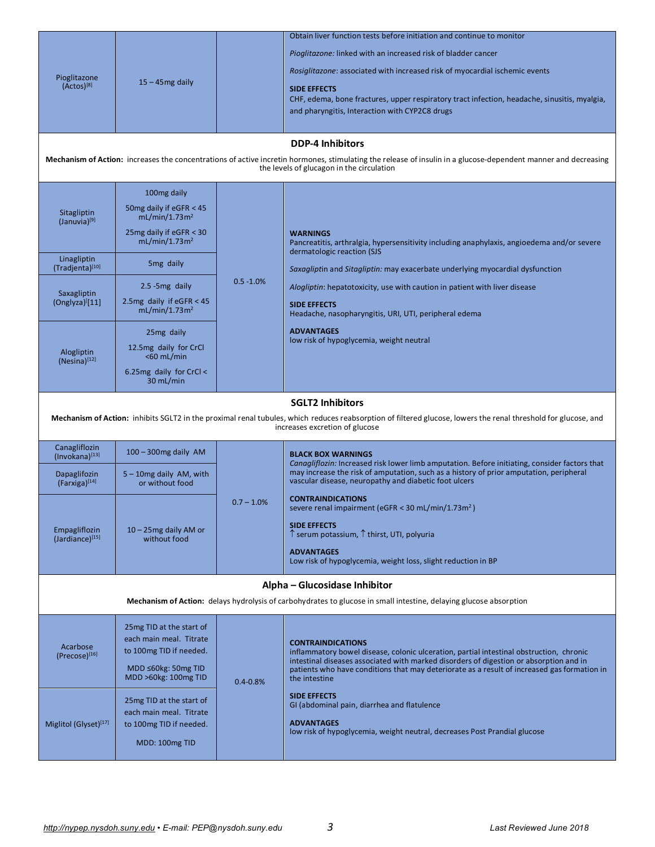| Pioglitazone<br>$(Actos)^{[8]}$  |                                                         |               | Obtain liver function tests before initiation and continue to monitor                                                                                                             |  |  |
|----------------------------------|---------------------------------------------------------|---------------|-----------------------------------------------------------------------------------------------------------------------------------------------------------------------------------|--|--|
|                                  | $15 - 45$ mg daily                                      |               | Pioglitazone: linked with an increased risk of bladder cancer                                                                                                                     |  |  |
|                                  |                                                         |               | Rosiglitazone: associated with increased risk of myocardial ischemic events                                                                                                       |  |  |
|                                  |                                                         |               | <b>SIDE EFFECTS</b>                                                                                                                                                               |  |  |
|                                  |                                                         |               | CHF, edema, bone fractures, upper respiratory tract infection, headache, sinusitis, myalgia,                                                                                      |  |  |
|                                  |                                                         |               | and pharyngitis, Interaction with CYP2C8 drugs                                                                                                                                    |  |  |
|                                  |                                                         |               | <b>DDP-4 Inhibitors</b>                                                                                                                                                           |  |  |
|                                  |                                                         |               | Mechanism of Action: increases the concentrations of active incretin hormones, stimulating the release of insulin in a glucose-dependent manner and decreasing                    |  |  |
|                                  |                                                         |               | the levels of glucagon in the circulation                                                                                                                                         |  |  |
|                                  | 100mg daily                                             |               |                                                                                                                                                                                   |  |  |
| Sitagliptin                      | 50mg daily if eGFR < 45<br>mL/min/1.73m <sup>2</sup>    |               |                                                                                                                                                                                   |  |  |
| (Januvia) <sup>[9]</sup>         | 25mg daily if eGFR < 30                                 |               | <b>WARNINGS</b>                                                                                                                                                                   |  |  |
|                                  | mL/min/1.73m <sup>2</sup>                               |               | Pancreatitis, arthralgia, hypersensitivity including anaphylaxis, angioedema and/or severe<br>dermatologic reaction (SJS                                                          |  |  |
| Linagliptin<br>(Tradjenta)[10]   | 5 <sub>mg</sub> daily                                   |               | Saxagliptin and Sitagliptin: may exacerbate underlying myocardial dysfunction                                                                                                     |  |  |
| Saxagliptin                      | $2.5 - 5mg$ daily                                       | $0.5 - 1.0%$  | Alogliptin: hepatotoxicity, use with caution in patient with liver disease                                                                                                        |  |  |
| (Onglyza)[11]                    | 2.5mg daily if $eGFR < 45$<br>mL/min/1.73m <sup>2</sup> |               | <b>SIDE EFFECTS</b><br>Headache, nasopharyngitis, URI, UTI, peripheral edema                                                                                                      |  |  |
|                                  | 25mg daily                                              |               | <b>ADVANTAGES</b>                                                                                                                                                                 |  |  |
|                                  | 12.5mg daily for CrCl                                   |               | low risk of hypoglycemia, weight neutral                                                                                                                                          |  |  |
| Alogliptin<br>$(Nesina)^{[12]}$  | $<$ 60 mL/min                                           |               |                                                                                                                                                                                   |  |  |
|                                  | 6.25 $mg$ daily for CrCl <<br>30 mL/min                 |               |                                                                                                                                                                                   |  |  |
|                                  |                                                         |               |                                                                                                                                                                                   |  |  |
|                                  |                                                         |               | <b>SGLT2 Inhibitors</b>                                                                                                                                                           |  |  |
|                                  |                                                         |               | Mechanism of Action: inhibits SGLT2 in the proximal renal tubules, which reduces reabsorption of filtered glucose, lowers the renal threshold for glucose, and                    |  |  |
|                                  |                                                         |               | increases excretion of glucose                                                                                                                                                    |  |  |
| Canagliflozin<br>(Invokana)[13]  | $100 - 300$ mg daily AM                                 |               | <b>BLACK BOX WARNINGS</b><br>Canagliflozin: Increased risk lower limb amputation. Before initiating, consider factors that                                                        |  |  |
| Dapaglifozin<br>(Farxiga)[14]    | $5 - 10$ mg daily AM, with<br>or without food           |               | may increase the risk of amputation, such as a history of prior amputation, peripheral<br>vascular disease, neuropathy and diabetic foot ulcers                                   |  |  |
|                                  |                                                         | $0.7 - 1.0\%$ | <b>CONTRAINDICATIONS</b>                                                                                                                                                          |  |  |
|                                  |                                                         |               | severe renal impairment (eGFR < 30 mL/min/1.73m <sup>2</sup> )<br><b>SIDE EFFECTS</b>                                                                                             |  |  |
| Empagliflozin<br>(Jardiance)[15] | $10 - 25$ mg daily AM or<br>without food                |               | ↑ serum potassium, ↑ thirst, UTI, polyuria                                                                                                                                        |  |  |
|                                  |                                                         |               | <b>ADVANTAGES</b><br>Low risk of hypoglycemia, weight loss, slight reduction in BP                                                                                                |  |  |
|                                  |                                                         |               |                                                                                                                                                                                   |  |  |
|                                  |                                                         |               | Alpha - Glucosidase Inhibitor<br><b>Mechanism of Action:</b> delays hydrolysis of carbohydrates to glucose in small intestine, delaying glucose absorption                        |  |  |
|                                  | 25 mg TID at the start of                               |               |                                                                                                                                                                                   |  |  |
|                                  | each main meal. Titrate                                 |               | <b>CONTRAINDICATIONS</b>                                                                                                                                                          |  |  |
| Acarbose<br>$(Precose)^{[16]}$   | to 100mg TID if needed.                                 |               | inflammatory bowel disease, colonic ulceration, partial intestinal obstruction, chronic<br>intestinal diseases associated with marked disorders of digestion or absorption and in |  |  |
|                                  | MDD $\leq 60$ kg: 50mg TID<br>MDD >60kg: 100mg TID      | $0.4 - 0.8%$  | patients who have conditions that may deteriorate as a result of increased gas formation in<br>the intestine                                                                      |  |  |
|                                  |                                                         |               | <b>SIDE EFFECTS</b>                                                                                                                                                               |  |  |
|                                  | 25 mg TID at the start of<br>each main meal. Titrate    |               | GI (abdominal pain, diarrhea and flatulence                                                                                                                                       |  |  |
| Miglitol (Glyset)[17]            | to 100mg TID if needed.                                 |               | <b>ADVANTAGES</b><br>low risk of hypoglycemia, weight neutral, decreases Post Prandial glucose                                                                                    |  |  |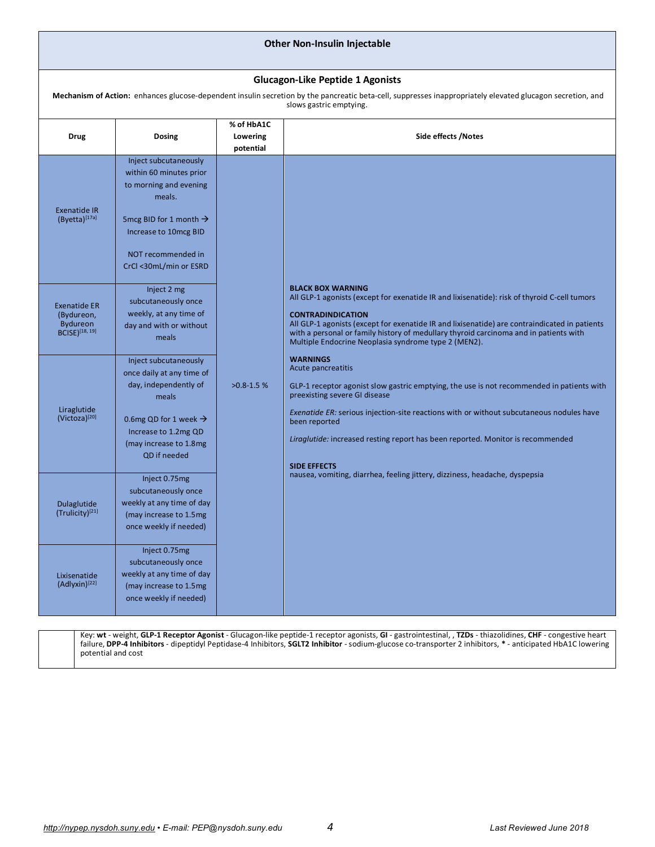| <b>Other Non-Insulin Injectable</b>                                                                                                                                                                   |                                                                                                                                                                                                      |                                     |                                                                                                                                                                                                                                                                                                                                                                                                        |  |  |
|-------------------------------------------------------------------------------------------------------------------------------------------------------------------------------------------------------|------------------------------------------------------------------------------------------------------------------------------------------------------------------------------------------------------|-------------------------------------|--------------------------------------------------------------------------------------------------------------------------------------------------------------------------------------------------------------------------------------------------------------------------------------------------------------------------------------------------------------------------------------------------------|--|--|
| <b>Glucagon-Like Peptide 1 Agonists</b><br>Mechanism of Action: enhances glucose-dependent insulin secretion by the pancreatic beta-cell, suppresses inappropriately elevated glucagon secretion, and |                                                                                                                                                                                                      |                                     |                                                                                                                                                                                                                                                                                                                                                                                                        |  |  |
| <b>Drug</b>                                                                                                                                                                                           | <b>Dosing</b>                                                                                                                                                                                        | % of HbA1C<br>Lowering<br>potential | slows gastric emptying.<br>Side effects /Notes                                                                                                                                                                                                                                                                                                                                                         |  |  |
| <b>Exenatide IR</b><br>(Byetta) <sup>[17a]</sup>                                                                                                                                                      | Inject subcutaneously<br>within 60 minutes prior<br>to morning and evening<br>meals.<br>5 mcg BID for 1 month $\rightarrow$<br>Increase to 10mcg BID<br>NOT recommended in<br>CrCl <30mL/min or ESRD |                                     |                                                                                                                                                                                                                                                                                                                                                                                                        |  |  |
| <b>Exenatide ER</b><br>(Bydureon,<br><b>Bydureon</b><br><b>BCISE</b> )[18, 19]                                                                                                                        | Inject 2 mg<br>subcutaneously once<br>weekly, at any time of<br>day and with or without<br>meals                                                                                                     |                                     | <b>BLACK BOX WARNING</b><br>All GLP-1 agonists (except for exenatide IR and lixisenatide): risk of thyroid C-cell tumors<br><b>CONTRADINDICATION</b><br>All GLP-1 agonists (except for exenatide IR and lixisenatide) are contraindicated in patients<br>with a personal or family history of medullary thyroid carcinoma and in patients with<br>Multiple Endocrine Neoplasia syndrome type 2 (MEN2). |  |  |
| Liraglutide<br>(Victoza)[20]                                                                                                                                                                          | Inject subcutaneously<br>once daily at any time of<br>day, independently of<br>meals<br>0.6mg QD for 1 week $\rightarrow$<br>Increase to 1.2mg QD<br>(may increase to 1.8mg)<br>QD if needed         | $>0.8 - 1.5$ %                      | <b>WARNINGS</b><br>Acute pancreatitis<br>GLP-1 receptor agonist slow gastric emptying, the use is not recommended in patients with<br>preexisting severe GI disease<br><i>Exenatide ER:</i> serious injection-site reactions with or without subcutaneous nodules have<br>been reported<br>Liraglutide: increased resting report has been reported. Monitor is recommended<br><b>SIDE EFFECTS</b>      |  |  |
| Dulaglutide<br>(Trulicity)[21]                                                                                                                                                                        | Inject 0.75mg<br>subcutaneously once<br>weekly at any time of day<br>(may increase to 1.5mg<br>once weekly if needed)                                                                                |                                     | nausea, vomiting, diarrhea, feeling jittery, dizziness, headache, dyspepsia                                                                                                                                                                                                                                                                                                                            |  |  |
| Lixisenatide<br>(Adlyxin) <sup>[22]</sup>                                                                                                                                                             | Inject 0.75mg<br>subcutaneously once<br>weekly at any time of day<br>(may increase to 1.5mg<br>once weekly if needed)                                                                                |                                     |                                                                                                                                                                                                                                                                                                                                                                                                        |  |  |

Key: **wt** - weight, **GLP-1 Receptor Agonist** - Glucagon-like peptide-1 receptor agonists, **GI** - gastrointestinal, , **TZDs** - thiazolidines, **CHF** - congestive heart failure, **DPP-4 Inhibitors** - dipeptidyl Peptidase-4 Inhibitors, **SGLT2 Inhibitor** - sodium-glucose co-transporter 2 inhibitors, **\*** - anticipated HbA1C lowering potential and cost